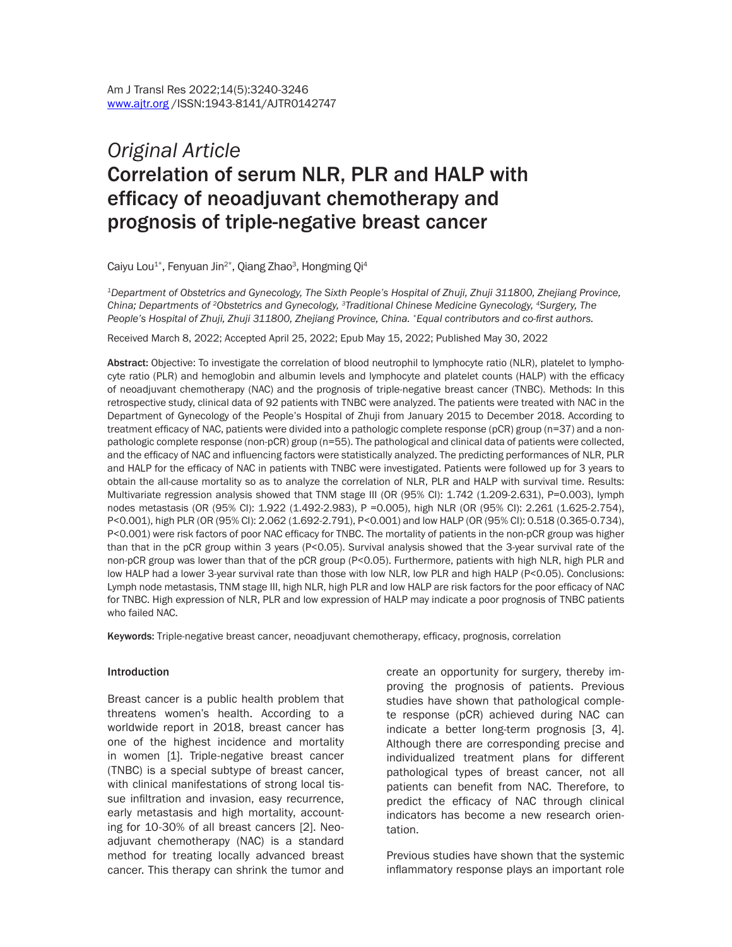# *Original Article* Correlation of serum NLR, PLR and HALP with efficacy of neoadjuvant chemotherapy and prognosis of triple-negative breast cancer

Caiyu Lou<sup>1\*</sup>, Fenyuan Jin<sup>2\*</sup>, Qiang Zhao<sup>3</sup>, Hongming Qi<sup>4</sup>

*1Department of Obstetrics and Gynecology, The Sixth People's Hospital of Zhuji, Zhuji 311800, Zhejiang Province, China; Departments of 2Obstetrics and Gynecology, 3Traditional Chinese Medicine Gynecology, 4Surgery, The People's Hospital of Zhuji, Zhuji 311800, Zhejiang Province, China. \*Equal contributors and co-first authors.*

Received March 8, 2022; Accepted April 25, 2022; Epub May 15, 2022; Published May 30, 2022

Abstract: Objective: To investigate the correlation of blood neutrophil to lymphocyte ratio (NLR), platelet to lymphocyte ratio (PLR) and hemoglobin and albumin levels and lymphocyte and platelet counts (HALP) with the efficacy of neoadjuvant chemotherapy (NAC) and the prognosis of triple-negative breast cancer (TNBC). Methods: In this retrospective study, clinical data of 92 patients with TNBC were analyzed. The patients were treated with NAC in the Department of Gynecology of the People's Hospital of Zhuji from January 2015 to December 2018. According to treatment efficacy of NAC, patients were divided into a pathologic complete response (pCR) group (n=37) and a nonpathologic complete response (non-pCR) group (n=55). The pathological and clinical data of patients were collected, and the efficacy of NAC and influencing factors were statistically analyzed. The predicting performances of NLR, PLR and HALP for the efficacy of NAC in patients with TNBC were investigated. Patients were followed up for 3 years to obtain the all-cause mortality so as to analyze the correlation of NLR, PLR and HALP with survival time. Results: Multivariate regression analysis showed that TNM stage III (OR (95% CI): 1.742 (1.209-2.631), P=0.003), lymph nodes metastasis (OR (95% CI): 1.922 (1.492-2.983), P =0.005), high NLR (OR (95% CI): 2.261 (1.625-2.754), P<0.001), high PLR (OR (95% CI): 2.062 (1.692-2.791), P<0.001) and low HALP (OR (95% CI): 0.518 (0.365-0.734), P<0.001) were risk factors of poor NAC efficacy for TNBC. The mortality of patients in the non-pCR group was higher than that in the pCR group within 3 years (P<0.05). Survival analysis showed that the 3-year survival rate of the non-pCR group was lower than that of the pCR group (P<0.05). Furthermore, patients with high NLR, high PLR and low HALP had a lower 3-year survival rate than those with low NLR, low PLR and high HALP (P<0.05). Conclusions: Lymph node metastasis, TNM stage III, high NLR, high PLR and low HALP are risk factors for the poor efficacy of NAC for TNBC. High expression of NLR, PLR and low expression of HALP may indicate a poor prognosis of TNBC patients who failed NAC.

Keywords: Triple-negative breast cancer, neoadjuvant chemotherapy, efficacy, prognosis, correlation

#### Introduction

Breast cancer is a public health problem that threatens women's health. According to a worldwide report in 2018, breast cancer has one of the highest incidence and mortality in women [1]. Triple-negative breast cancer (TNBC) is a special subtype of breast cancer, with clinical manifestations of strong local tissue infiltration and invasion, easy recurrence, early metastasis and high mortality, accounting for 10-30% of all breast cancers [2]. Neoadjuvant chemotherapy (NAC) is a standard method for treating locally advanced breast cancer. This therapy can shrink the tumor and

create an opportunity for surgery, thereby improving the prognosis of patients. Previous studies have shown that pathological complete response (pCR) achieved during NAC can indicate a better long-term prognosis [3, 4]. Although there are corresponding precise and individualized treatment plans for different pathological types of breast cancer, not all patients can benefit from NAC. Therefore, to predict the efficacy of NAC through clinical indicators has become a new research orientation.

Previous studies have shown that the systemic inflammatory response plays an important role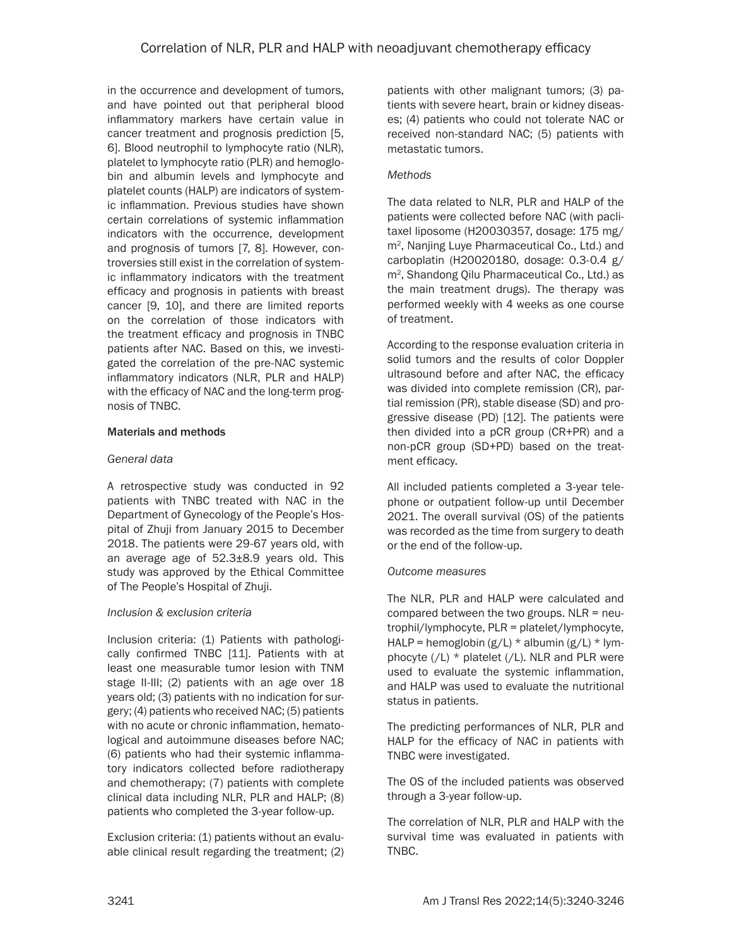in the occurrence and development of tumors, and have pointed out that peripheral blood inflammatory markers have certain value in cancer treatment and prognosis prediction [5, 6]. Blood neutrophil to lymphocyte ratio (NLR), platelet to lymphocyte ratio (PLR) and hemoglobin and albumin levels and lymphocyte and platelet counts (HALP) are indicators of systemic inflammation. Previous studies have shown certain correlations of systemic inflammation indicators with the occurrence, development and prognosis of tumors [7, 8]. However, controversies still exist in the correlation of systemic inflammatory indicators with the treatment efficacy and prognosis in patients with breast cancer [9, 10], and there are limited reports on the correlation of those indicators with the treatment efficacy and prognosis in TNBC patients after NAC. Based on this, we investigated the correlation of the pre-NAC systemic inflammatory indicators (NLR, PLR and HALP) with the efficacy of NAC and the long-term prognosis of TNBC.

## Materials and methods

## *General data*

A retrospective study was conducted in 92 patients with TNBC treated with NAC in the Department of Gynecology of the People's Hospital of Zhuji from January 2015 to December 2018. The patients were 29-67 years old, with an average age of  $52.3\pm8.9$  years old. This study was approved by the Ethical Committee of The People's Hospital of Zhuji.

# *Inclusion & exclusion criteria*

Inclusion criteria: (1) Patients with pathologically confirmed TNBC [11]. Patients with at least one measurable tumor lesion with TNM stage II-III; (2) patients with an age over 18 years old; (3) patients with no indication for surgery; (4) patients who received NAC; (5) patients with no acute or chronic inflammation, hematological and autoimmune diseases before NAC; (6) patients who had their systemic inflammatory indicators collected before radiotherapy and chemotherapy; (7) patients with complete clinical data including NLR, PLR and HALP; (8) patients who completed the 3-year follow-up.

Exclusion criteria: (1) patients without an evaluable clinical result regarding the treatment; (2) patients with other malignant tumors; (3) patients with severe heart, brain or kidney diseases; (4) patients who could not tolerate NAC or received non-standard NAC; (5) patients with metastatic tumors.

# *Methods*

The data related to NLR, PLR and HALP of the patients were collected before NAC (with paclitaxel liposome (H20030357, dosage: 175 mg/ m2, Nanjing Luye Pharmaceutical Co., Ltd.) and carboplatin (H20020180, dosage: 0.3-0.4 g/ m2, Shandong Qilu Pharmaceutical Co., Ltd.) as the main treatment drugs). The therapy was performed weekly with 4 weeks as one course of treatment.

According to the response evaluation criteria in solid tumors and the results of color Doppler ultrasound before and after NAC, the efficacy was divided into complete remission (CR), partial remission (PR), stable disease (SD) and progressive disease (PD) [12]. The patients were then divided into a pCR group (CR+PR) and a non-pCR group (SD+PD) based on the treatment efficacy.

All included patients completed a 3-year telephone or outpatient follow-up until December 2021. The overall survival (OS) of the patients was recorded as the time from surgery to death or the end of the follow-up.

#### *Outcome measures*

The NLR, PLR and HALP were calculated and compared between the two groups.  $NLR = neu$ trophil/lymphocyte, PLR = platelet/lymphocyte, HALP = hemoglobin  $(g/L)$  \* albumin  $(g/L)$  \* lymphocyte  $//L$   $*$  platelet  $//L$ . NLR and PLR were used to evaluate the systemic inflammation, and HALP was used to evaluate the nutritional status in patients.

The predicting performances of NLR, PLR and HALP for the efficacy of NAC in patients with TNBC were investigated.

The OS of the included patients was observed through a 3-year follow-up.

The correlation of NLR, PLR and HALP with the survival time was evaluated in patients with TNBC.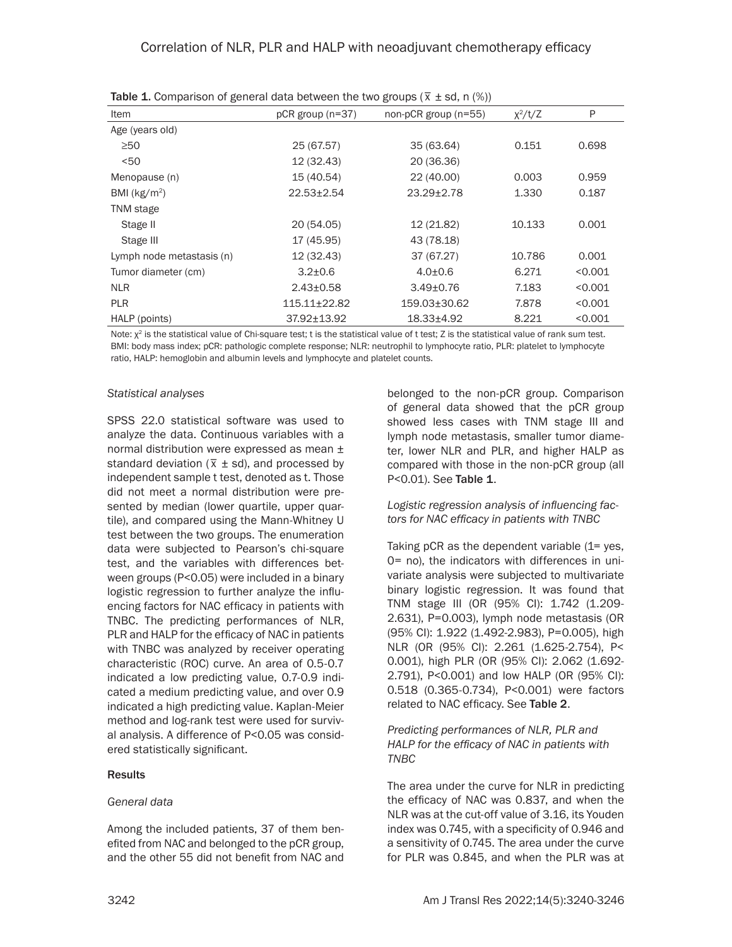| Item                      | $pCR$ group ( $n=37$ ) | non-pCR group (n=55) | $\chi^2/t/Z$ | P       |
|---------------------------|------------------------|----------------------|--------------|---------|
| Age (years old)           |                        |                      |              |         |
| $\geq 50$                 | 25 (67.57)             | 35 (63.64)           | 0.151        | 0.698   |
| $50$                      | 12 (32.43)             | 20 (36.36)           |              |         |
| Menopause (n)             | 15 (40.54)             | 22 (40.00)           | 0.003        | 0.959   |
| BMI ( $kg/m2$ )           | $22.53 \pm 2.54$       | $23.29 \pm 2.78$     | 1.330        | 0.187   |
| TNM stage                 |                        |                      |              |         |
| Stage II                  | 20 (54.05)             | 12 (21.82)           | 10.133       | 0.001   |
| Stage III                 | 17 (45.95)             | 43 (78.18)           |              |         |
| Lymph node metastasis (n) | 12 (32.43)             | 37 (67.27)           | 10.786       | 0.001   |
| Tumor diameter (cm)       | $3.2 \pm 0.6$          | $4.0{\pm}0.6$        | 6.271        | < 0.001 |
| <b>NLR</b>                | $2.43 \pm 0.58$        | $3.49 \pm 0.76$      | 7.183        | < 0.001 |
| <b>PLR</b>                | $115.11 \pm 22.82$     | 159.03±30.62         | 7.878        | < 0.001 |
| HALP (points)             | 37.92±13.92            | $18.33 \pm 4.92$     | 8.221        | < 0.001 |

**Table 1.** Comparison of general data between the two groups ( $\overline{x}$  ± sd, n (%))

Note:  $\chi^2$  is the statistical value of Chi-square test; t is the statistical value of t test; Z is the statistical value of rank sum test. BMI: body mass index; pCR: pathologic complete response; NLR: neutrophil to lymphocyte ratio, PLR: platelet to lymphocyte ratio, HALP: hemoglobin and albumin levels and lymphocyte and platelet counts.

#### *Statistical analyses*

SPSS 22.0 statistical software was used to analyze the data. Continuous variables with a normal distribution were expressed as mean ±  $\frac{1}{2}$  standard deviation ( $\overline{x}$   $\pm$  sd), and processed by independent sample t test, denoted as t. Those did not meet a normal distribution were presented by median (lower quartile, upper quartile), and compared using the Mann-Whitney U test between the two groups. The enumeration data were subjected to Pearson's chi-square test, and the variables with differences between groups (P<0.05) were included in a binary logistic regression to further analyze the influencing factors for NAC efficacy in patients with TNBC. The predicting performances of NLR, PLR and HALP for the efficacy of NAC in patients with TNBC was analyzed by receiver operating characteristic (ROC) curve. An area of 0.5-0.7 indicated a low predicting value, 0.7-0.9 indicated a medium predicting value, and over 0.9 indicated a high predicting value. Kaplan-Meier method and log-rank test were used for survival analysis. A difference of P<0.05 was considered statistically significant.

#### Results

#### *General data*

Among the included patients, 37 of them benefited from NAC and belonged to the pCR group, and the other 55 did not benefit from NAC and belonged to the non-pCR group. Comparison of general data showed that the pCR group showed less cases with TNM stage III and lymph node metastasis, smaller tumor diameter, lower NLR and PLR, and higher HALP as compared with those in the non-pCR group (all P<0.01). See Table 1.

#### *Logistic regression analysis of influencing factors for NAC efficacy in patients with TNBC*

Taking  $pCR$  as the dependent variable  $(1=yes,$ 0= no), the indicators with differences in univariate analysis were subjected to multivariate binary logistic regression. It was found that TNM stage III (OR (95% CI): 1.742 (1.209- 2.631), P=0.003), lymph node metastasis (OR (95% CI): 1.922 (1.492-2.983), P=0.005), high NLR (OR (95% CI): 2.261 (1.625-2.754), P< 0.001), high PLR (OR (95% CI): 2.062 (1.692- 2.791), P<0.001) and low HALP (OR (95% CI): 0.518 (0.365-0.734), P<0.001) were factors related to NAC efficacy. See Table 2.

#### *Predicting performances of NLR, PLR and HALP for the efficacy of NAC in patients with TNBC*

The area under the curve for NLR in predicting the efficacy of NAC was 0.837, and when the NLR was at the cut-off value of 3.16, its Youden index was 0.745, with a specificity of 0.946 and a sensitivity of 0.745. The area under the curve for PLR was 0.845, and when the PLR was at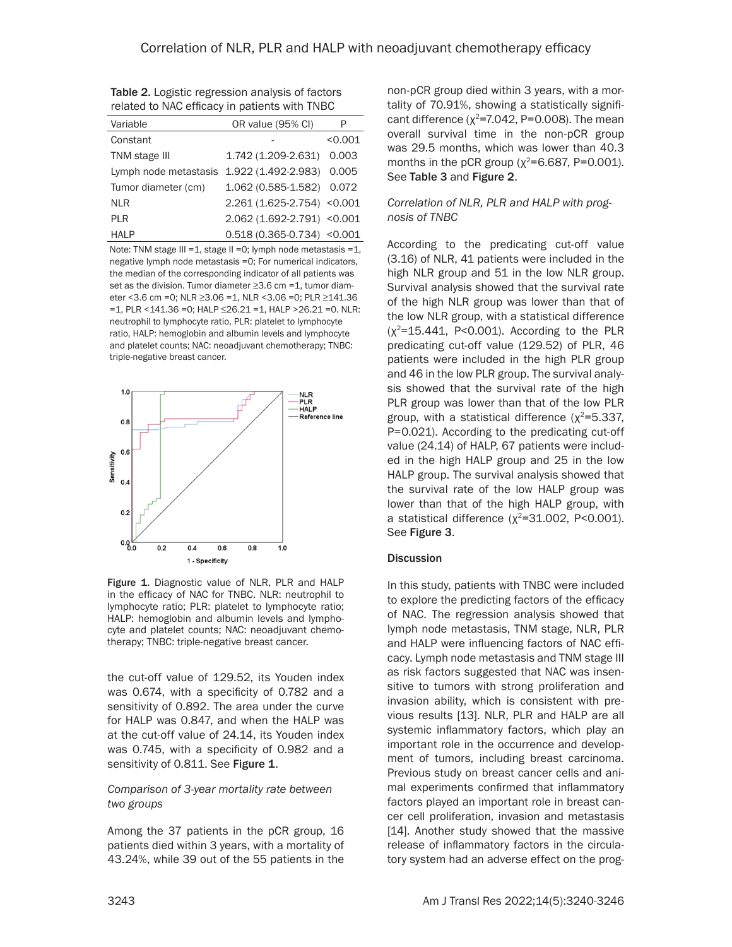| Variable              | OR value (95% CI)              | P       |  |  |  |  |
|-----------------------|--------------------------------|---------|--|--|--|--|
| Constant              |                                | < 0.001 |  |  |  |  |
| TNM stage III         | 1.742 (1.209-2.631)            | 0.003   |  |  |  |  |
| Lymph node metastasis | 1.922 (1.492-2.983) 0.005      |         |  |  |  |  |
| Tumor diameter (cm)   | 1.062 (0.585-1.582) 0.072      |         |  |  |  |  |
| <b>NLR</b>            | 2.261 (1.625-2.754) < 0.001    |         |  |  |  |  |
| <b>PLR</b>            | 2.062 (1.692-2.791) < 0.001    |         |  |  |  |  |
| <b>HALP</b>           | $0.518(0.365 - 0.734)$ < 0.001 |         |  |  |  |  |

Table 2. Logistic regression analysis of factors related to NAC efficacy in patients with TNBC

Note: TNM stage III = 1, stage II = 0; lymph node metastasis = 1, negative lymph node metastasis =0; For numerical indicators, the median of the corresponding indicator of all patients was set as the division. Tumor diameter ≥3.6 cm =1, tumor diameter <3.6 cm =0; NLR ≥3.06 =1, NLR <3.06 =0; PLR ≥141.36 =1, PLR <141.36 =0; HALP ≤26.21 =1, HALP >26.21 =0. NLR: neutrophil to lymphocyte ratio, PLR: platelet to lymphocyte ratio, HALP: hemoglobin and albumin levels and lymphocyte and platelet counts; NAC: neoadjuvant chemotherapy; TNBC: triple-negative breast cancer.



Figure 1. Diagnostic value of NLR, PLR and HALP in the efficacy of NAC for TNBC. NLR: neutrophil to lymphocyte ratio; PLR: platelet to lymphocyte ratio; HALP: hemoglobin and albumin levels and lymphocyte and platelet counts; NAC: neoadjuvant chemotherapy; TNBC: triple-negative breast cancer.

the cut-off value of 129.52, its Youden index was 0.674, with a specificity of 0.782 and a sensitivity of 0.892. The area under the curve for HALP was 0.847, and when the HALP was at the cut-off value of 24.14, its Youden index was 0.745, with a specificity of 0.982 and a sensitivity of 0.811. See Figure 1.

## *Comparison of 3-year mortality rate between two groups*

Among the 37 patients in the pCR group, 16 patients died within 3 years, with a mortality of 43.24%, while 39 out of the 55 patients in the non-pCR group died within 3 years, with a mortality of 70.91%, showing a statistically significant difference ( $\chi^2$ =7.042, P=0.008). The mean overall survival time in the non-pCR group was 29.5 months, which was lower than 40.3 months in the pCR group ( $\chi^2$ =6.687, P=0.001). See Table 3 and Figure 2.

#### *Correlation of NLR, PLR and HALP with prognosis of TNBC*

According to the predicating cut-off value (3.16) of NLR, 41 patients were included in the high NLR group and 51 in the low NLR group. Survival analysis showed that the survival rate of the high NLR group was lower than that of the low NLR group, with a statistical difference  $(x^2=15.441, P<0.001)$ . According to the PLR predicating cut-off value (129.52) of PLR, 46 patients were included in the high PLR group and 46 in the low PLR group. The survival analysis showed that the survival rate of the high PLR group was lower than that of the low PLR group, with a statistical difference  $(x^2=5.337,$ P=0.021). According to the predicating cut-off value (24.14) of HALP, 67 patients were included in the high HALP group and 25 in the low HALP group. The survival analysis showed that the survival rate of the low HALP group was lower than that of the high HALP group, with a statistical difference  $(\chi^2=31.002, P<0.001)$ . See Figure 3.

#### **Discussion**

In this study, patients with TNBC were included to explore the predicting factors of the efficacy of NAC. The regression analysis showed that lymph node metastasis, TNM stage, NLR, PLR and HALP were influencing factors of NAC efficacy. Lymph node metastasis and TNM stage III as risk factors suggested that NAC was insensitive to tumors with strong proliferation and invasion ability, which is consistent with previous results [13]. NLR, PLR and HALP are all systemic inflammatory factors, which play an important role in the occurrence and development of tumors, including breast carcinoma. Previous study on breast cancer cells and animal experiments confirmed that inflammatory factors played an important role in breast cancer cell proliferation, invasion and metastasis [14]. Another study showed that the massive release of inflammatory factors in the circulatory system had an adverse effect on the prog-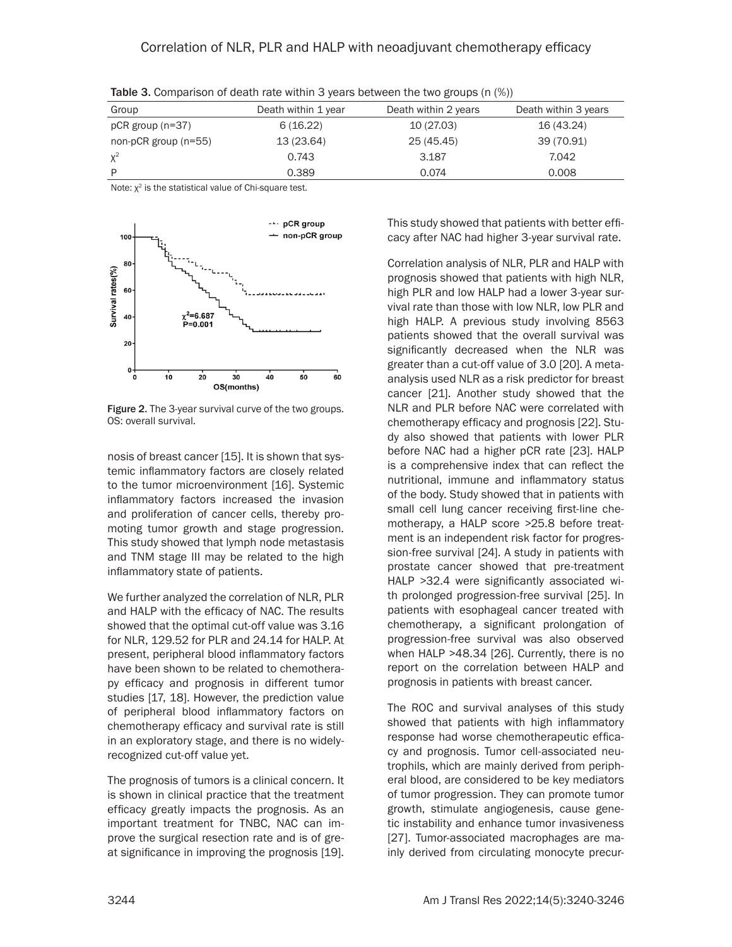| Group                  | Death within 1 year | Death within 2 years | Death within 3 years |  |
|------------------------|---------------------|----------------------|----------------------|--|
| $pCR$ group (n=37)     | 6(16.22)            | 10 (27.03)           | 16 (43.24)           |  |
| non-pCR group $(n=55)$ | 13 (23.64)          | 25 (45.45)           | 39 (70.91)           |  |
| $X^2$                  | 0.743               | 3.187                | 7.042                |  |
| D                      | 0.389               | 0.074                | 0.008                |  |

Table 3. Comparison of death rate within 3 years between the two groups (n (%))

Note:  $\chi^2$  is the statistical value of Chi-square test.



Figure 2. The 3-year survival curve of the two groups. OS: overall survival.

nosis of breast cancer [15]. It is shown that systemic inflammatory factors are closely related to the tumor microenvironment [16]. Systemic inflammatory factors increased the invasion and proliferation of cancer cells, thereby promoting tumor growth and stage progression. This study showed that lymph node metastasis and TNM stage III may be related to the high inflammatory state of patients.

We further analyzed the correlation of NLR, PLR and HALP with the efficacy of NAC. The results showed that the optimal cut-off value was 3.16 for NLR, 129.52 for PLR and 24.14 for HALP. At present, peripheral blood inflammatory factors have been shown to be related to chemotherapy efficacy and prognosis in different tumor studies [17, 18]. However, the prediction value of peripheral blood inflammatory factors on chemotherapy efficacy and survival rate is still in an exploratory stage, and there is no widelyrecognized cut-off value yet.

The prognosis of tumors is a clinical concern. It is shown in clinical practice that the treatment efficacy greatly impacts the prognosis. As an important treatment for TNBC, NAC can improve the surgical resection rate and is of great significance in improving the prognosis [19]. This study showed that patients with better efficacy after NAC had higher 3-year survival rate.

Correlation analysis of NLR, PLR and HALP with prognosis showed that patients with high NLR, high PLR and low HALP had a lower 3-year survival rate than those with low NLR, low PLR and high HALP. A previous study involving 8563 patients showed that the overall survival was significantly decreased when the NLR was greater than a cut-off value of 3.0 [20]. A metaanalysis used NLR as a risk predictor for breast cancer [21]. Another study showed that the NLR and PLR before NAC were correlated with chemotherapy efficacy and prognosis [22]. Study also showed that patients with lower PLR before NAC had a higher pCR rate [23]. HALP is a comprehensive index that can reflect the nutritional, immune and inflammatory status of the body. Study showed that in patients with small cell lung cancer receiving first-line chemotherapy, a HALP score >25.8 before treatment is an independent risk factor for progression-free survival [24]. A study in patients with prostate cancer showed that pre-treatment HALP >32.4 were significantly associated with prolonged progression-free survival [25]. In patients with esophageal cancer treated with chemotherapy, a significant prolongation of progression-free survival was also observed when HALP >48.34 [26]. Currently, there is no report on the correlation between HALP and prognosis in patients with breast cancer.

The ROC and survival analyses of this study showed that patients with high inflammatory response had worse chemotherapeutic efficacy and prognosis. Tumor cell-associated neutrophils, which are mainly derived from peripheral blood, are considered to be key mediators of tumor progression. They can promote tumor growth, stimulate angiogenesis, cause genetic instability and enhance tumor invasiveness [27]. Tumor-associated macrophages are mainly derived from circulating monocyte precur-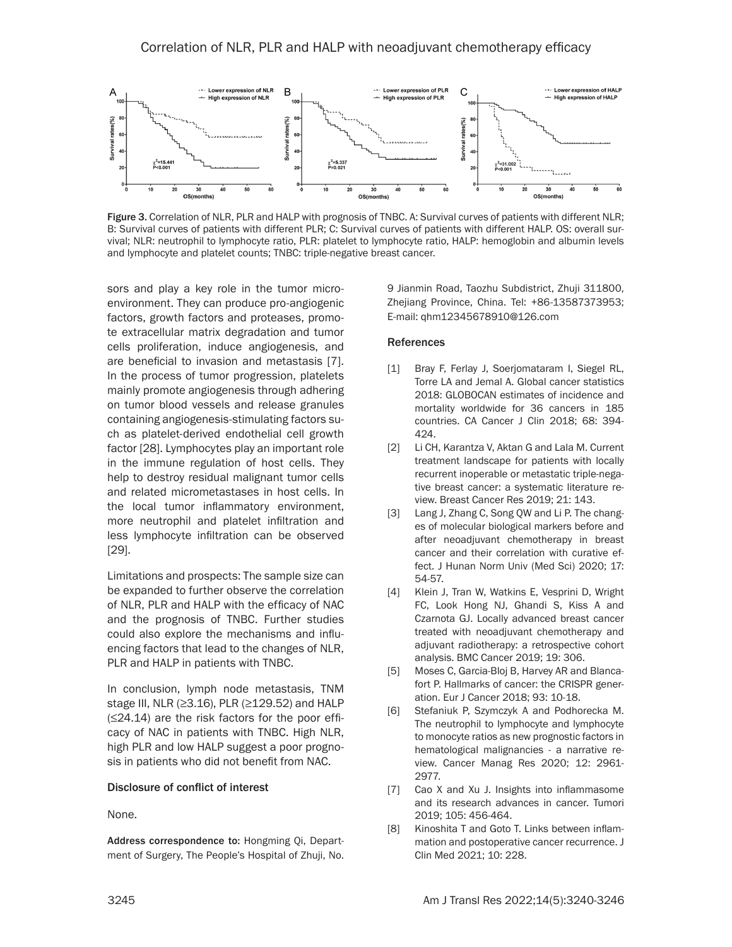

Figure 3. Correlation of NLR, PLR and HALP with prognosis of TNBC. A: Survival curves of patients with different NLR; B: Survival curves of patients with different PLR; C: Survival curves of patients with different HALP. OS: overall survival; NLR: neutrophil to lymphocyte ratio, PLR: platelet to lymphocyte ratio, HALP: hemoglobin and albumin levels and lymphocyte and platelet counts; TNBC: triple-negative breast cancer.

sors and play a key role in the tumor microenvironment. They can produce pro-angiogenic factors, growth factors and proteases, promote extracellular matrix degradation and tumor cells proliferation, induce angiogenesis, and are beneficial to invasion and metastasis [7]. In the process of tumor progression, platelets mainly promote angiogenesis through adhering on tumor blood vessels and release granules containing angiogenesis-stimulating factors such as platelet-derived endothelial cell growth factor [28]. Lymphocytes play an important role in the immune regulation of host cells. They help to destroy residual malignant tumor cells and related micrometastases in host cells. In the local tumor inflammatory environment, more neutrophil and platelet infiltration and less lymphocyte infiltration can be observed [29].

Limitations and prospects: The sample size can be expanded to further observe the correlation of NLR, PLR and HALP with the efficacy of NAC and the prognosis of TNBC. Further studies could also explore the mechanisms and influencing factors that lead to the changes of NLR, PLR and HALP in patients with TNBC.

In conclusion, lymph node metastasis, TNM stage III, NLR ( $\geq$ 3.16), PLR ( $\geq$ 129.52) and HALP (≤24.14) are the risk factors for the poor efficacy of NAC in patients with TNBC. High NLR, high PLR and low HALP suggest a poor prognosis in patients who did not benefit from NAC.

#### Disclosure of conflict of interest

None.

Address correspondence to: Hongming Qi, Department of Surgery, The People's Hospital of Zhuji, No.

9 Jianmin Road, Taozhu Subdistrict, Zhuji 311800, Zhejiang Province, China. Tel: +86-13587373953; E-mail: qhm12345678910@126.com

#### References

- [1] Bray F, Ferlay J, Soerjomataram I, Siegel RL, Torre LA and Jemal A. Global cancer statistics 2018: GLOBOCAN estimates of incidence and mortality worldwide for 36 cancers in 185 countries. CA Cancer J Clin 2018; 68: 394- 424.
- [2] Li CH, Karantza V, Aktan G and Lala M. Current treatment landscape for patients with locally recurrent inoperable or metastatic triple-negative breast cancer: a systematic literature review. Breast Cancer Res 2019; 21: 143.
- [3] Lang J, Zhang C, Song QW and Li P. The changes of molecular biological markers before and after neoadjuvant chemotherapy in breast cancer and their correlation with curative effect. J Hunan Norm Univ (Med Sci) 2020; 17: 54-57.
- [4] Klein J, Tran W, Watkins E, Vesprini D, Wright FC, Look Hong NJ, Ghandi S, Kiss A and Czarnota GJ. Locally advanced breast cancer treated with neoadjuvant chemotherapy and adjuvant radiotherapy: a retrospective cohort analysis. BMC Cancer 2019; 19: 306.
- [5] Moses C, Garcia-Bloj B, Harvey AR and Blancafort P. Hallmarks of cancer: the CRISPR generation. Eur J Cancer 2018; 93: 10-18.
- [6] Stefaniuk P, Szymczyk A and Podhorecka M. The neutrophil to lymphocyte and lymphocyte to monocyte ratios as new prognostic factors in hematological malignancies - a narrative review. Cancer Manag Res 2020; 12: 2961- 2977.
- [7] Cao X and Xu J. Insights into inflammasome and its research advances in cancer. Tumori 2019; 105: 456-464.
- [8] Kinoshita T and Goto T. Links between inflammation and postoperative cancer recurrence. J Clin Med 2021; 10: 228.